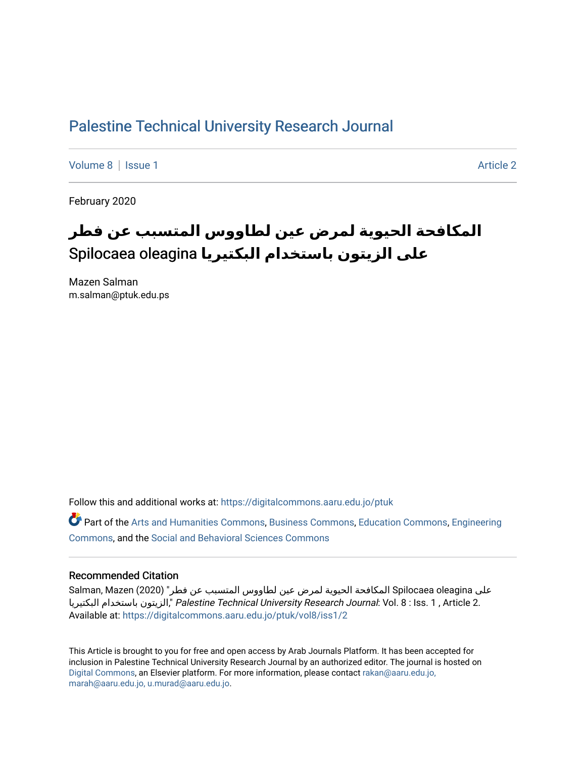## [Palestine Technical University Research Journal](https://digitalcommons.aaru.edu.jo/ptuk)

[Volume 8](https://digitalcommons.aaru.edu.jo/ptuk/vol8) | [Issue 1](https://digitalcommons.aaru.edu.jo/ptuk/vol8/iss1) Article 2

February 2020

# **المكافحة الحيوية لمرض عين لطاووس المتسبب عن فطر على الزيتون باستخدام البكتيريا** oleagina Spilocaea

Mazen Salman m.salman@ptuk.edu.ps

Follow this and additional works at: [https://digitalcommons.aaru.edu.jo/ptuk](https://digitalcommons.aaru.edu.jo/ptuk?utm_source=digitalcommons.aaru.edu.jo%2Fptuk%2Fvol8%2Fiss1%2F2&utm_medium=PDF&utm_campaign=PDFCoverPages) 

Part of the [Arts and Humanities Commons,](http://network.bepress.com/hgg/discipline/438?utm_source=digitalcommons.aaru.edu.jo%2Fptuk%2Fvol8%2Fiss1%2F2&utm_medium=PDF&utm_campaign=PDFCoverPages) [Business Commons](http://network.bepress.com/hgg/discipline/622?utm_source=digitalcommons.aaru.edu.jo%2Fptuk%2Fvol8%2Fiss1%2F2&utm_medium=PDF&utm_campaign=PDFCoverPages), [Education Commons,](http://network.bepress.com/hgg/discipline/784?utm_source=digitalcommons.aaru.edu.jo%2Fptuk%2Fvol8%2Fiss1%2F2&utm_medium=PDF&utm_campaign=PDFCoverPages) [Engineering](http://network.bepress.com/hgg/discipline/217?utm_source=digitalcommons.aaru.edu.jo%2Fptuk%2Fvol8%2Fiss1%2F2&utm_medium=PDF&utm_campaign=PDFCoverPages) [Commons](http://network.bepress.com/hgg/discipline/217?utm_source=digitalcommons.aaru.edu.jo%2Fptuk%2Fvol8%2Fiss1%2F2&utm_medium=PDF&utm_campaign=PDFCoverPages), and the [Social and Behavioral Sciences Commons](http://network.bepress.com/hgg/discipline/316?utm_source=digitalcommons.aaru.edu.jo%2Fptuk%2Fvol8%2Fiss1%2F2&utm_medium=PDF&utm_campaign=PDFCoverPages)

#### Recommended Citation

على Spilocaea oleagina المكافحة الحيوية لمرض عين لطاووس المتسبب عن فطر" (2020) Salman, Mazen البكتيريا باستخدام الزيتون, "Palestine Technical University Research Journal: Vol. 8 : Iss. 1 , Article 2. Available at: [https://digitalcommons.aaru.edu.jo/ptuk/vol8/iss1/2](https://digitalcommons.aaru.edu.jo/ptuk/vol8/iss1/2?utm_source=digitalcommons.aaru.edu.jo%2Fptuk%2Fvol8%2Fiss1%2F2&utm_medium=PDF&utm_campaign=PDFCoverPages)

This Article is brought to you for free and open access by Arab Journals Platform. It has been accepted for inclusion in Palestine Technical University Research Journal by an authorized editor. The journal is hosted on [Digital Commons](https://www.elsevier.com/solutions/digital-commons), an Elsevier platform. For more information, please contact [rakan@aaru.edu.jo,](mailto:rakan@aaru.edu.jo,%20marah@aaru.edu.jo,%20u.murad@aaru.edu.jo)  [marah@aaru.edu.jo, u.murad@aaru.edu.jo.](mailto:rakan@aaru.edu.jo,%20marah@aaru.edu.jo,%20u.murad@aaru.edu.jo)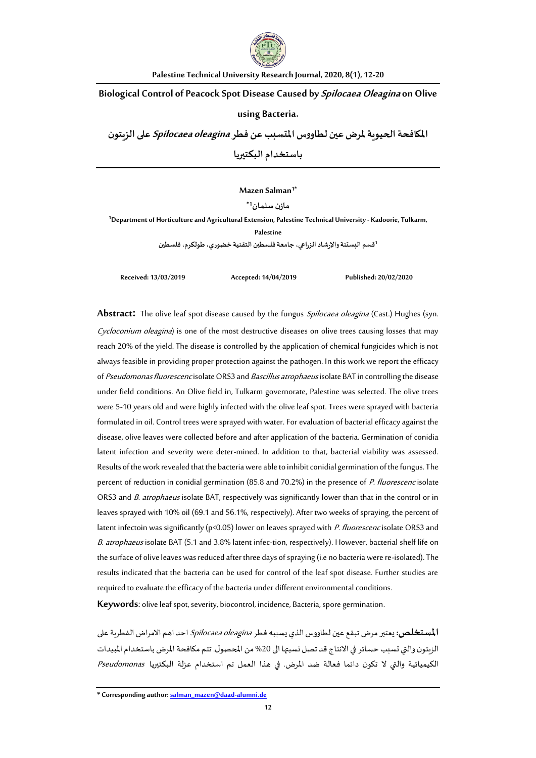

**Palestine Technical University Research Journal, 2020, 8(1), 12-20**

**Biological Control of Peacock Spot Disease Caused by Spilocaea Oleagina on Olive** 

#### **using Bacteria.**

**املكافحةالحيويةملرضعين لطاووساملتسببعن فطر oleagina Spilocaea علىالزيتون**

**باستخدام البكتيريا**

#### **Mazen Salman1\***

**مازن سلمان1\***

**<sup>1</sup>Department of Horticulture and Agricultural Extension, Palestine Technical University- Kadoorie, Tulkarm, Palestine**

<sup>1</sup>قسم البستنة والإرشاد الزراعي، جامعة فلسطين التقنية خضوري، طولكرم، فلسطين

**Received: 13/03/2019 Accepted: 14/04/2019 Published: 20/02/2020**

**Abstract:** The olive leaf spot disease caused by the fungus Spilocaea oleagina (Cast.) Hughes (syn. Cycloconium oleagina) is one of the most destructive diseases on olive trees causing losses that may reach 20% of the yield. The disease is controlled by the application of chemical fungicides which is not always feasible in providing proper protection against the pathogen. In this work we report the efficacy of Pseudomonas fluorescencisolate ORS3 and Bascillus atrophaeus isolate BAT in controlling the disease under field conditions. An Olive field in, Tulkarm governorate, Palestine was selected. The olive trees were 5-10 years old and were highly infected with the olive leaf spot. Trees were sprayed with bacteria formulated in oil. Control trees were sprayed with water. For evaluation of bacterial efficacy against the disease, olive leaves were collected before and after application of the bacteria. Germination of conidia latent infection and severity were deter-mined. In addition to that, bacterial viability was assessed. Results of the work revealed that the bacteria were able to inhibit conidial germination of the fungus. The percent of reduction in conidial germination (85.8 and 70.2%) in the presence of P. fluorescenc isolate ORS3 and *B. atrophaeus* isolate BAT, respectively was significantly lower than that in the control or in leaves sprayed with 10% oil (69.1 and 56.1%, respectively). After two weeks of spraying, the percent of latent infectoin was significantly (p<0.05) lower on leaves sprayed with P. fluorescenc isolate ORS3 and B. atrophaeus isolate BAT (5.1 and 3.8% latent infec-tion, respectively). However, bacterial shelf life on the surface of olive leaves was reduced after three days of spraying (i.e no bacteria were re-isolated). The results indicated that the bacteria can be used for control of the leaf spot disease. Further studies are required to evaluate the efficacy of the bacteria under different environmental conditions.

**Keywords**: olive leaf spot, severity, biocontrol, incidence, Bacteria, spore germination.

**المستخلص:** يعتبر مرض تبقع عين لطاووس الذي يسببه فطر *Spilocaea oleagina* احد اهم الامراض الفطرية على الزيتون والتي تسبب حسائر في الانتاج قد تصل نسبتها الى 20% من المحصول. تتم مكافحة المرض باستخدام المبيدات الكيميائية والتي ال تكون دائما فعالة ضد املرض. في هذا العمل تم استخدام عزلة البكتيريا Pseudomonas

**\* Corresponding author[: salman\\_mazen@daad-alumni.de](mailto:salman_mazen@daad-alumni.de)**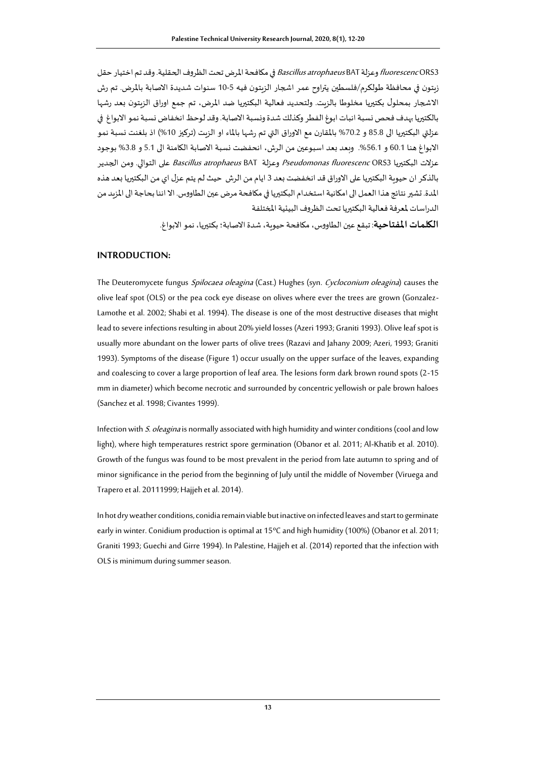*fluorescenc* ORS3 وعزلة Bascillus atrophaeus BAT في مكافحة المرض تحت الظروف الحقلية. وقد تم اختيار حقل زيتون في محافظة طولكرم/فلسطين يتراوح عمر اشجار الزيتون فيه 10-5 سنوات شديدة االصابة باملرض. تم رش االشجار بمحلول بكتيريا مخلوطا بالزيت. ولتحديد فعالية البكتيريا ضد املرض، تم جمع اوراق الزيتون بعد رشها بالكتيريا بهدف فحص نسبة انبات ابوغ الفطر وكذلك شدة ونسبة االصابة. وقد لوحظ انخفاض نسبة نمو االبواغ في عزلتي البكتيريا الى 85.8 و 70.2% بالمقارن مع الاوراق التي تم رشها بالماء او الزيت (تركيز 10%) اذ بلغنت نسبة نمو الابواغ هنا 60.1 و 56.1%. وبعد بعد اسبوعين من الرش، انحفضت نسبة الاصابة الكامنة الى 5.1 و 3.8% بوجود عزلات البكتيريا 3ORS *Pseudomonas fluorescenc* ORS وعزلة Bascillus atrophaeus BAT على التوالي. ومن الجدير بالذكر ان حيوية البكتيريا على االوراق قد انخفضت بعد 3 ايام من الرش حيث لم يتم عزل اي من البكتيريا بعد هذه المدة. تشير نتائج هذا العمل الى امكانية استخدام البكتيريا في مكافحة مرض عبن الطاووس. الا اننا بحاجة الى المزيد من الدراسات لمعرفة فعالية البكتيريا تحت الظروف البيئية المختلفة

**الكلمات املفتاحية**: تبقع عين الطاووس،مكافحة حيوية، شدة االصابة؛ بكتيريا، نمو االبواغ.

## **INTRODUCTION:**

The Deuteromycete fungus Spilocaea oleagina (Cast.) Hughes (syn. Cycloconium oleagina) causes the olive leaf spot (OLS) or the pea cock eye disease on olives where ever the trees are grown (Gonzalez-Lamothe et al. 2002; Shabi et al. 1994). The disease is one of the most destructive diseases that might lead to severe infections resulting in about 20% yield losses (Azeri 1993; Graniti 1993). Olive leaf spot is usually more abundant on the lower parts of olive trees (Razavi and Jahany 2009; Azeri, 1993; Graniti 1993). Symptoms of the disease (Figure 1) occur usually on the upper surface of the leaves, expanding and coalescing to cover a large proportion of leaf area. The lesions form dark brown round spots (2-15 mm in diameter) which become necrotic and surrounded by concentric yellowish or pale brown haloes (Sanchez et al. 1998; Civantes 1999).

Infection with S. oleagina is normally associated with high humidity and winter conditions (cool and low light), where high temperatures restrict spore germination (Obanor et al. 2011; Al-Khatib et al. 2010). Growth of the fungus was found to be most prevalent in the period from late autumn to spring and of minor significance in the period from the beginning of July until the middle of November (Viruega and Trapero et al. 20111999; Hajjeh et al. 2014).

In hot dry weather conditions, conidia remain viable but inactive on infected leaves and start to germinate early in winter. Conidium production is optimal at 15ºC and high humidity (100%) (Obanor et al. 2011; Graniti 1993; Guechi and Girre 1994). In Palestine, Hajjeh et al. (2014) reported that the infection with OLS is minimum during summer season.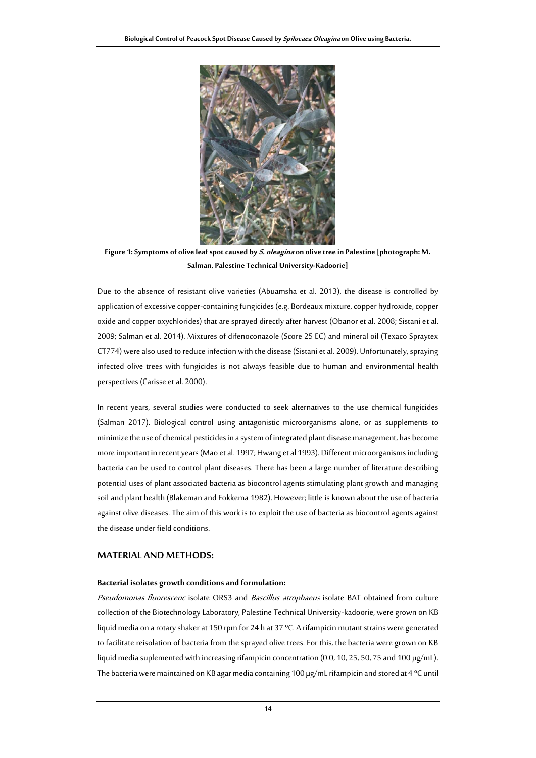

**Figure 1: Symptoms of olive leaf spot caused by S. oleagina on olive tree in Palestine [photograph: M. Salman, Palestine Technical University-Kadoorie]**

Due to the absence of resistant olive varieties (Abuamsha et al. 2013), the disease is controlled by application of excessive copper-containing fungicides (e.g. Bordeaux mixture, copper hydroxide, copper oxide and copper oxychlorides) that are sprayed directly after harvest (Obanor et al. 2008; Sistani et al. 2009; Salman et al. 2014). Mixtures of difenoconazole (Score 25 EC) and mineral oil (Texaco Spraytex CT774) were also used to reduce infection with the disease (Sistani et al. 2009). Unfortunately, spraying infected olive trees with fungicides is not always feasible due to human and environmental health perspectives (Carisse et al. 2000).

In recent years, several studies were conducted to seek alternatives to the use chemical fungicides (Salman 2017). Biological control using antagonistic microorganisms alone, or as supplements to minimize the use of chemical pesticides in a system of integrated plant disease management, has become more important in recent years (Mao et al. 1997; Hwang et al 1993). Different microorganisms including bacteria can be used to control plant diseases. There has been a large number of literature describing potential uses of plant associated bacteria as biocontrol agents stimulating plant growth and managing soil and plant health (Blakeman and Fokkema 1982). However; little is known about the use of bacteria against olive diseases. The aim of this work is to exploit the use of bacteria as biocontrol agents against the disease under field conditions.

#### **MATERIAL AND METHODS:**

#### **Bacterial isolates growth conditions and formulation:**

Pseudomonas fluorescenc isolate ORS3 and Bascillus atrophaeus isolate BAT obtained from culture collection of the Biotechnology Laboratory, Palestine Technical University-kadoorie, were grown on KB liquid media on a rotary shaker at 150 rpm for 24 h at 37 ºC. A rifampicin mutant strains were generated to facilitate reisolation of bacteria from the sprayed olive trees. For this, the bacteria were grown on KB liquid media suplemented with increasing rifampicin concentration (0.0, 10, 25, 50, 75 and 100 µg/mL). The bacteria were maintained on KB agar media containing 100 µg/mL rifampicin and stored at 4 ºC until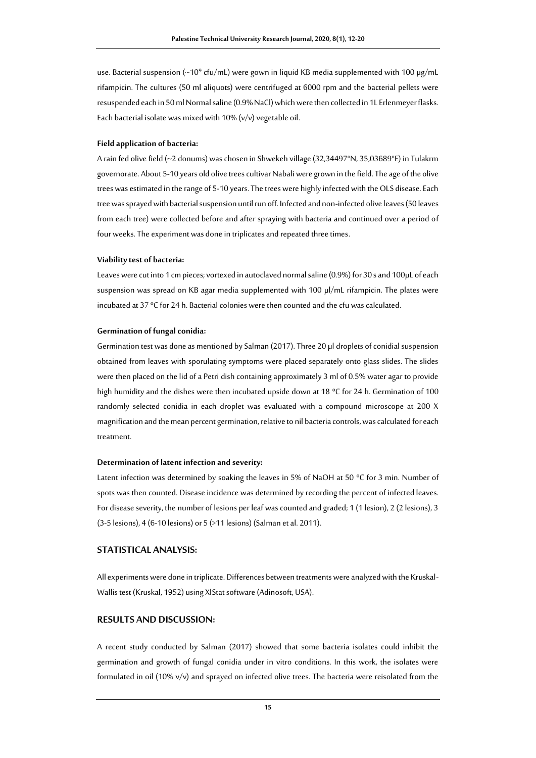use. Bacterial suspension (~10 $^9$  cfu/mL) were gown in liquid KB media supplemented with 100  $\mu$ g/mL rifampicin. The cultures (50 ml aliquots) were centrifuged at 6000 rpm and the bacterial pellets were resuspended each in 50 ml Normal saline (0.9% NaCl) which were then collected in 1L Erlenmeyer flasks. Each bacterial isolate was mixed with  $10\%$  ( $v/v$ ) vegetable oil.

#### **Field application of bacteria:**

A rain fed olive field (~2 donums) was chosen in Shwekeh village (32,34497°N, 35,03689°E) in Tulakrm governorate. About 5-10 years old olive trees cultivar Nabali were grown in the field. The age of the olive trees was estimated in the range of 5-10 years. The trees were highly infected with the OLS disease. Each tree was sprayed with bacterial suspension until run off. Infected and non-infected olive leaves (50 leaves from each tree) were collected before and after spraying with bacteria and continued over a period of four weeks. The experiment was done in triplicates and repeated three times.

#### **Viability test of bacteria:**

Leaves were cut into 1 cm pieces; vortexed in autoclaved normal saline (0.9%) for 30 s and 100µL of each suspension was spread on KB agar media supplemented with 100 µl/mL rifampicin. The plates were incubated at 37 ºC for 24 h. Bacterial colonies were then counted and the cfu was calculated.

#### **Germination of fungal conidia:**

Germination test was done as mentioned by Salman (2017). Three 20 µl droplets of conidial suspension obtained from leaves with sporulating symptoms were placed separately onto glass slides. The slides were then placed on the lid of a Petri dish containing approximately 3 ml of 0.5% water agar to provide high humidity and the dishes were then incubated upside down at 18 ºC for 24 h. Germination of 100 randomly selected conidia in each droplet was evaluated with a compound microscope at 200 X magnification and the mean percent germination, relative to nil bacteria controls, was calculated for each treatment.

#### **Determination of latent infection and severity:**

Latent infection was determined by soaking the leaves in 5% of NaOH at 50 °C for 3 min. Number of spots was then counted. Disease incidence was determined by recording the percent of infected leaves. For disease severity, the number of lesions per leaf was counted and graded; 1 (1 lesion), 2 (2 lesions), 3 (3-5 lesions), 4 (6-10 lesions) or 5 (>11 lesions) (Salman et al. 2011).

#### **STATISTICAL ANALYSIS:**

All experiments were done in triplicate. Differences between treatments were analyzed with the Kruskal-Wallis test (Kruskal, 1952) using XlStat software (Adinosoft, USA).

#### **RESULTS AND DISCUSSION:**

A recent study conducted by Salman (2017) showed that some bacteria isolates could inhibit the germination and growth of fungal conidia under in vitro conditions. In this work, the isolates were formulated in oil (10%  $v/v$ ) and sprayed on infected olive trees. The bacteria were reisolated from the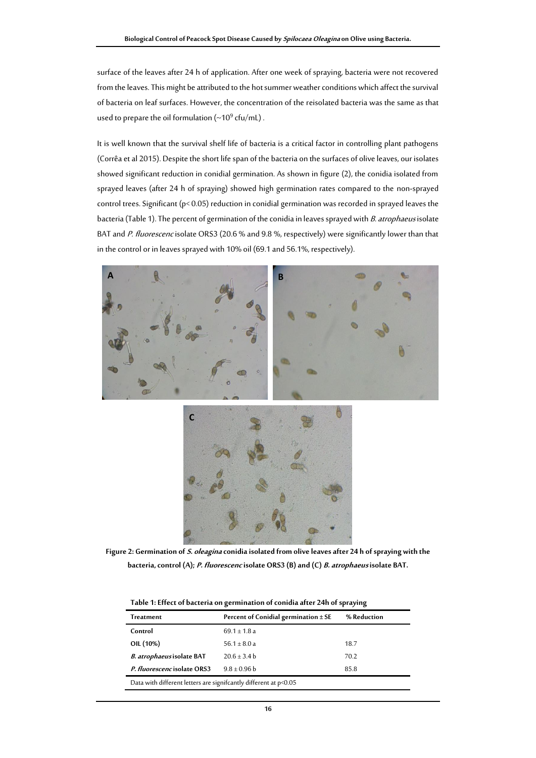surface of the leaves after 24 h of application. After one week of spraying, bacteria were not recovered from the leaves. This might be attributed to the hot summer weather conditions which affect the survival of bacteria on leaf surfaces. However, the concentration of the reisolated bacteria was the same as that used to prepare the oil formulation ( $\sim$ 10<sup>9</sup> cfu/mL).

It is well known that the survival shelf life of bacteria is a critical factor in controlling plant pathogens (Corrêa et al 2015). Despite the short life span of the bacteria on the surfaces of olive leaves, our isolates showed significant reduction in conidial germination. As shown in figure (2), the conidia isolated from sprayed leaves (after 24 h of spraying) showed high germination rates compared to the non-sprayed control trees. Significant (p< 0.05) reduction in conidial germination was recorded in sprayed leaves the bacteria (Table 1). The percent of germination of the conidia in leaves sprayed with B. atrophaeus isolate BAT and P. fluorescenc isolate ORS3 (20.6 % and 9.8 %, respectively) were significantly lower than that in the control or in leaves sprayed with 10% oil (69.1 and 56.1%, respectively).



**Figure 2: Germination of S. oleaginaconidia isolated from olive leaves after 24 h of spraying with the bacteria, control (A); P. fluorescencisolate ORS3 (B) and (C) B. atrophaeusisolate BAT.**

| Treatment                                                        | Percent of Conidial germination $\pm$ SE | % Reduction |
|------------------------------------------------------------------|------------------------------------------|-------------|
| Control                                                          | $69.1 \pm 1.8$ a                         |             |
| OIL (10%)                                                        | $56.1 \pm 8.0 a$                         | 18.7        |
| B. atrophaeus isolate BAT                                        | $20.6 \pm 3.4 b$                         | 70.2        |
| P. fluorescencisolate ORS3                                       | $9.8 \pm 0.96$ b                         | 85.8        |
| Data with different letters are signifcantly different at p<0.05 |                                          |             |

**Table 1: Effect of bacteria on germination of conidia after 24h of spraying**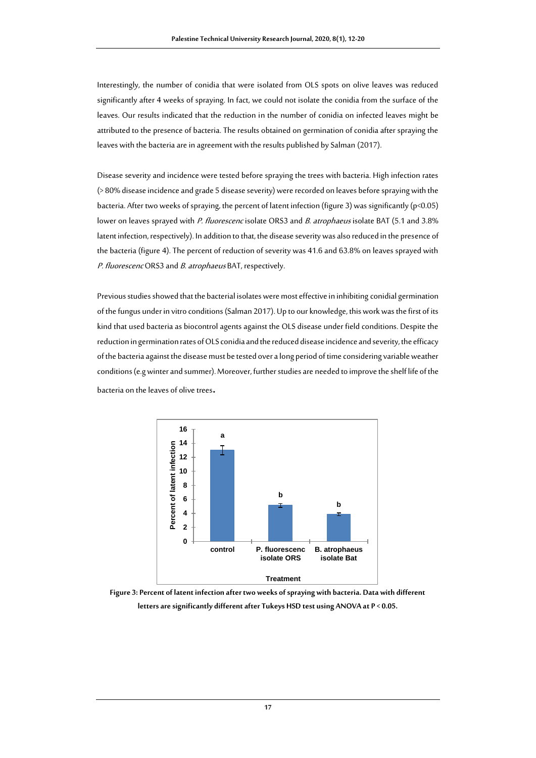Interestingly, the number of conidia that were isolated from OLS spots on olive leaves was reduced significantly after 4 weeks of spraying. In fact, we could not isolate the conidia from the surface of the leaves. Our results indicated that the reduction in the number of conidia on infected leaves might be attributed to the presence of bacteria. The results obtained on germination of conidia after spraying the leaves with the bacteria are in agreement with the results published by Salman (2017).

Disease severity and incidence were tested before spraying the trees with bacteria. High infection rates (> 80% disease incidence and grade 5 disease severity) were recorded on leaves before spraying with the bacteria. After two weeks of spraying, the percent of latent infection (figure 3) was significantly (p<0.05) lower on leaves sprayed with P. fluorescenc isolate ORS3 and B. atrophaeus isolate BAT (5.1 and 3.8% latent infection, respectively). In addition to that, the disease severity was also reduced in the presence of the bacteria (figure 4). The percent of reduction of severity was 41.6 and 63.8% on leaves sprayed with P. fluorescenc ORS3 and B. atrophaeus BAT, respectively.

Previous studies showed that the bacterial isolates were most effective in inhibiting conidial germination of the fungus under in vitro conditions (Salman 2017). Up to our knowledge, this work was the first of its kind that used bacteria as biocontrol agents against the OLS disease under field conditions. Despite the reduction in germination rates of OLS conidia and the reduced disease incidence and severity, the efficacy of the bacteria against the disease must be tested over a long period of time considering variable weather conditions (e.g winter and summer). Moreover, further studies are needed to improve the shelf life of the bacteria on the leaves of olive trees**.**



**Figure 3: Percent of latent infection after two weeks of spraying with bacteria. Data with different letters are significantly different after Tukeys HSD test using ANOVA at P < 0.05.**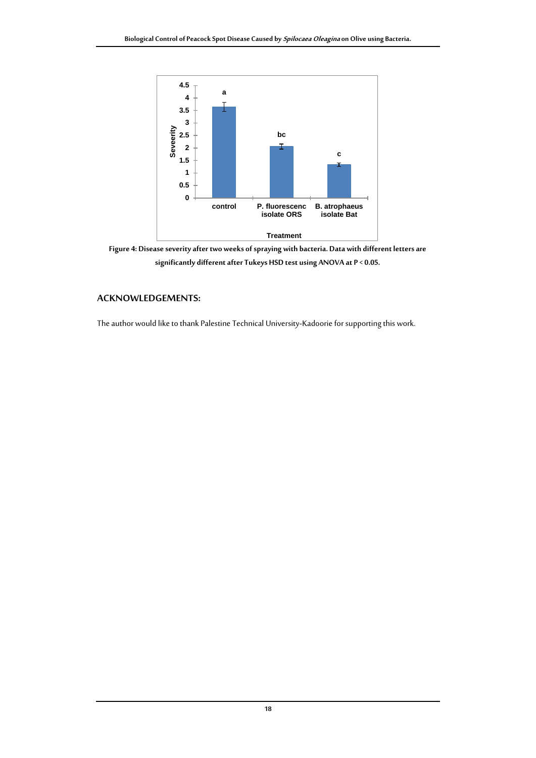

**Figure 4: Disease severity after two weeks of spraying with bacteria. Data with different letters are significantly different after Tukeys HSD test using ANOVA at P < 0.05.**

### **ACKNOWLEDGEMENTS:**

The author would like to thank Palestine Technical University-Kadoorie for supporting this work.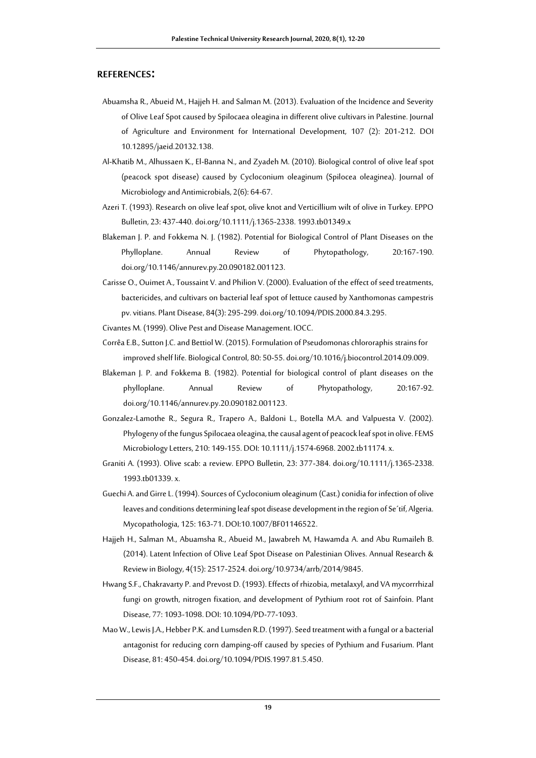#### **REFERENCES:**

- Abuamsha R., Abueid M., Hajjeh H. and Salman M. (2013). Evaluation of the Incidence and Severity of Olive Leaf Spot caused by Spilocaea oleagina in different olive cultivars in Palestine. Journal of Agriculture and Environment for International Development, 107 (2): 201-212. DOI 10.12895/jaeid.20132.138.
- Al-Khatib M., Alhussaen K., El-Banna N., and Zyadeh M. (2010). Biological control of olive leaf spot (peacock spot disease) caused by Cycloconium oleaginum (Spilocea oleaginea). Journal of Microbiology and Antimicrobials, 2(6): 64-67.
- Azeri T. (1993). Research on olive leaf spot, olive knot and Verticillium wilt of olive in Turkey. EPPO Bulletin, 23: 437-440. doi.org/10.1111/j.1365-2338. 1993.tb01349.x
- Blakeman J. P. and Fokkema N. J. (1982). Potential for Biological Control of Plant Diseases on the Phylloplane. Annual Review of Phytopathology, 20:167-190. doi.org/10.1146/annurev.py.20.090182.001123.
- Carisse O., Ouimet A., Toussaint V. and Philion V. (2000). Evaluation of the effect of seed treatments, bactericides, and cultivars on bacterial leaf spot of lettuce caused by Xanthomonas campestris pv. vitians. Plant Disease, 84(3): 295-299. doi.org/10.1094/PDIS.2000.84.3.295.
- Civantes M. (1999). Olive Pest and Disease Management. IOCC.
- Corrêa E.B., Sutton J.C. and Bettiol W. (2015). Formulation of Pseudomonas chlororaphis strains for improved shelf life. Biological Control, 80: 50-55. doi.org/10.1016/j.biocontrol.2014.09.009.
- Blakeman J. P. and Fokkema B. (1982). Potential for biological control of plant diseases on the phylloplane. Annual Review of Phytopathology, 20:167-92. doi.org/10.1146/annurev.py.20.090182.001123.
- Gonzalez-Lamothe R., Segura R., Trapero A., Baldoni L., Botella M.A. and Valpuesta V. (2002). Phylogeny of the fungus Spilocaea oleagina, the causal agent of peacock leaf spot in olive. FEMS Microbiology Letters, 210: 149-155. DOI: 10.1111/j.1574-6968. 2002.tb11174. x.
- Graniti A. (1993). Olive scab: a review. EPPO Bulletin, 23: 377-384. doi.org/10.1111/j.1365-2338. 1993.tb01339. x.
- Guechi A. and Girre L. (1994). Sources of Cycloconium oleaginum (Cast.) conidia for infection of olive leaves and conditions determining leaf spot disease development in the region of Se´tif, Algeria. Mycopathologia, 125: 163-71. DOI:10.1007/BF01146522.
- Hajjeh H., Salman M., Abuamsha R., Abueid M., Jawabreh M, Hawamda A. and Abu Rumaileh B. (2014). Latent Infection of Olive Leaf Spot Disease on Palestinian Olives. Annual Research & Review in Biology, 4(15): 2517-2524. doi.org/10.9734/arrb/2014/9845.
- Hwang S.F., Chakravarty P. and Prevost D. (1993). Effects of rhizobia, metalaxyl, and VA mycorrrhizal fungi on growth, nitrogen fixation, and development of Pythium root rot of Sainfoin. Plant Disease, 77: 1093-1098. DOI: 10.1094/PD-77-1093.
- Mao W., Lewis J.A., Hebber P.K. and Lumsden R.D. (1997). Seed treatment with a fungal or a bacterial antagonist for reducing corn damping-off caused by species of Pythium and Fusarium. Plant Disease, 81: 450-454. doi.org/10.1094/PDIS.1997.81.5.450.